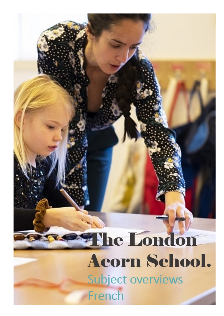## He London Acorn School. Subject overviews French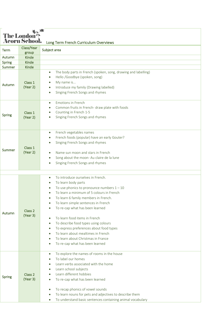| <b>The London</b><br><b>Acorn School.</b><br>Long Term French Curriculum Overviews |                     |                                                                                                                                                                                                                                                                                                                                                                                                                                                                                                                                      |  |  |
|------------------------------------------------------------------------------------|---------------------|--------------------------------------------------------------------------------------------------------------------------------------------------------------------------------------------------------------------------------------------------------------------------------------------------------------------------------------------------------------------------------------------------------------------------------------------------------------------------------------------------------------------------------------|--|--|
| <b>Term</b>                                                                        | Class/Year<br>group | Subject area                                                                                                                                                                                                                                                                                                                                                                                                                                                                                                                         |  |  |
| Autumn                                                                             | <b>Kinde</b>        |                                                                                                                                                                                                                                                                                                                                                                                                                                                                                                                                      |  |  |
| Spring                                                                             | <b>Kinde</b>        |                                                                                                                                                                                                                                                                                                                                                                                                                                                                                                                                      |  |  |
| Summer                                                                             | <b>Kinde</b>        |                                                                                                                                                                                                                                                                                                                                                                                                                                                                                                                                      |  |  |
| Autumn                                                                             | Class 1<br>(Year 2) | The body parts in French (spoken, song, drawing and labelling)<br>$\bullet$<br>Hello /Goodbye (spoken, song)<br>$\bullet$<br>My name is<br>Introduce my family (Drawing labelled)<br>Singing French Songs and rhymes                                                                                                                                                                                                                                                                                                                 |  |  |
| <b>Spring</b>                                                                      | Class 1<br>(Year 2) | <b>Emotions in French</b><br>$\bullet$<br>Common fruits in French- draw plate with foods<br>Counting in French 1-5<br>Singing French Songs and rhymes<br>$\bullet$                                                                                                                                                                                                                                                                                                                                                                   |  |  |
| Summer                                                                             | Class 1<br>(Year 2) | French vegetables names<br>$\bullet$<br>French foods (popular) have an early Gouter?<br>Singing French Songs and rhymes<br>Name sun moon and stars in French<br>Song about the moon- Au claire de la lune<br>$\bullet$<br>Singing French Songs and rhymes                                                                                                                                                                                                                                                                            |  |  |
| Autumn                                                                             | Class 2<br>(Year 3) | To introduce ourselves in French.<br>$\bullet$<br>To learn body parts<br>To use phonics to pronounce numbers $1 - 10$<br>To learn a minimum of 5 colours in French<br>To learn 6 family members in French.<br>To learn simple sentences in French<br>To re-cap what has been learned<br>To learn food items in French<br>To describe food types using colours<br>To express preferences about food types<br>$\bullet$<br>To learn about mealtimes in French<br>To learn about Christmas in France<br>To re-cap what has been learned |  |  |
| Spring                                                                             | Class 2<br>(Year 3) | To explore the names of rooms in the house<br>$\bullet$<br>To label our homes<br>Learn verbs associated with the home<br>Learn school subjects<br>$\bullet$<br>Learn different hobbies<br>To re-cap what has been learned<br>To recap phonics of vowel sounds<br>To learn nouns for pets and adjectives to describe them<br>To understand basic sentences containing animal vocabulary<br>$\bullet$                                                                                                                                  |  |  |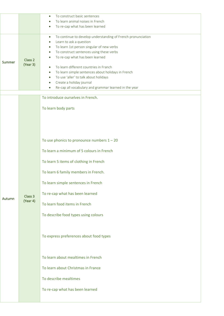|               |                     | To construct basic sentences<br>$\bullet$                                 |
|---------------|---------------------|---------------------------------------------------------------------------|
|               |                     | To learn animal noises in French                                          |
|               |                     | To re-cap what has been learned                                           |
|               |                     |                                                                           |
|               |                     | To continue to develop understanding of French pronunciation<br>$\bullet$ |
|               | Class 2<br>(Year 3) | Learn to ask a question<br>$\bullet$                                      |
|               |                     | To learn 1st person singular of new verbs<br>$\bullet$                    |
|               |                     | To construct sentences using these verbs<br>$\bullet$                     |
| Summer        |                     | To re-cap what has been learned                                           |
|               |                     | To learn different countries in Franch<br>$\bullet$                       |
|               |                     | To learn simple sentences about holidays in French<br>$\bullet$           |
|               |                     | To use 'aller' to talk about holidays<br>$\bullet$                        |
|               |                     | Create a holiday journal<br>$\bullet$                                     |
|               |                     | Re-cap all vocabulary and grammar learned in the year<br>$\bullet$        |
|               |                     |                                                                           |
|               |                     | To introduce ourselves in French.                                         |
|               |                     |                                                                           |
|               |                     | To learn body parts                                                       |
|               |                     |                                                                           |
|               |                     |                                                                           |
|               |                     |                                                                           |
|               |                     |                                                                           |
|               |                     |                                                                           |
|               |                     | To use phonics to pronounce numbers $1 - 20$                              |
|               |                     | To learn a minimum of 5 colours in French                                 |
|               |                     |                                                                           |
|               |                     | To learn 5 items of clothing in French                                    |
|               |                     |                                                                           |
|               |                     | To learn 6 family members in French.                                      |
|               |                     |                                                                           |
|               |                     | To learn simple sentences in French                                       |
|               |                     |                                                                           |
|               | Class <sub>3</sub>  | To re-cap what has been learned                                           |
| <b>Autumn</b> | (Year 4)            |                                                                           |
|               |                     | To learn food items in French                                             |
|               |                     |                                                                           |
|               |                     | To describe food types using colours                                      |
|               |                     |                                                                           |
|               |                     |                                                                           |
|               |                     | To express preferences about food types                                   |
|               |                     |                                                                           |
|               |                     |                                                                           |
|               |                     |                                                                           |
|               |                     | To learn about mealtimes in French                                        |
|               |                     |                                                                           |
|               |                     | To learn about Christmas in France                                        |
|               |                     |                                                                           |
|               |                     | To describe mealtimes                                                     |
|               |                     |                                                                           |
|               |                     | To re-cap what has been learned                                           |
|               |                     |                                                                           |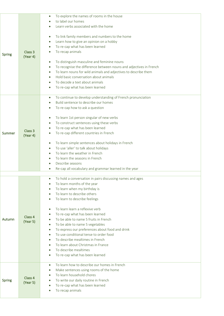|               |                     | To explore the names of rooms in the house<br>$\bullet$                         |
|---------------|---------------------|---------------------------------------------------------------------------------|
|               |                     | to label our homes                                                              |
|               |                     | Learn verbs associated with the home                                            |
|               |                     |                                                                                 |
|               |                     | To link family members and numbers to the home                                  |
|               |                     |                                                                                 |
|               |                     | Learn how to give an opinion on a hobby<br>$\bullet$                            |
|               |                     | To re-cap what has been learned                                                 |
| <b>Spring</b> | Class <sub>3</sub>  | To recap animals                                                                |
|               | (Year 4)            |                                                                                 |
|               |                     | To distinguish masculine and feminine nouns<br>$\bullet$                        |
|               |                     | To recognise the difference between nouns and adjectives in French<br>$\bullet$ |
|               |                     | To learn nouns for wild animals and adjectives to describe them<br>$\bullet$    |
|               |                     | Hold basic conversation about animals                                           |
|               |                     | To decode a text about animals                                                  |
|               |                     | To re-cap what has been learned                                                 |
|               |                     |                                                                                 |
|               |                     | To continue to develop understanding of French pronunciation<br>$\bullet$       |
|               |                     | Build sentence to describe our homes                                            |
|               |                     | To re-cap how to ask a question<br>$\bullet$                                    |
|               |                     |                                                                                 |
|               |                     | To learn 1st person singular of new verbs<br>$\bullet$                          |
|               |                     | To construct sentences using these verbs<br>$\bullet$                           |
|               | Class 3             | To re-cap what has been learned                                                 |
| Summer        | (Year 4)            | To re-cap different countries in French<br>$\bullet$                            |
|               |                     |                                                                                 |
|               |                     | To learn simple sentences about holidays in French<br>$\bullet$                 |
|               |                     | To use 'aller' to talk about holidays<br>$\bullet$                              |
|               |                     | To learn the weather in French                                                  |
|               |                     | To learn the seasons in French                                                  |
|               |                     | Describe seasons                                                                |
|               |                     | Re-cap all vocabulary and grammar learned in the year                           |
|               |                     |                                                                                 |
|               |                     | To hold a conversation in pairs discussing names and ages<br>$\bullet$          |
|               |                     | To learn months of the year<br>$\bullet$                                        |
|               |                     | To learn when my birthday is                                                    |
|               |                     | To learn to describe others                                                     |
|               |                     | To learn to describe feelings                                                   |
|               |                     |                                                                                 |
|               |                     | To learn learn a reflexive verb<br>$\bullet$                                    |
|               | Class 4             | To re-cap what has been learned<br>$\bullet$                                    |
| Autumn        | (Year 5)            | To be able to name 5 fruits in French<br>$\bullet$                              |
|               |                     | To be able to name 5 vegetables                                                 |
|               |                     | To express our preferences about food and drink                                 |
|               |                     | To use conditional tense to order food                                          |
|               |                     | To describe mealtimes in French                                                 |
|               |                     | To learn about Christmas in France                                              |
|               |                     | To describe mealtimes                                                           |
|               |                     | To re-cap what has been learned                                                 |
|               |                     |                                                                                 |
|               |                     | To learn how to describe our homes in French<br>$\bullet$                       |
| <b>Spring</b> |                     | Make sentences using rooms of the home                                          |
|               | Class 4<br>(Year 5) | To learn household chores                                                       |
|               |                     | To write our daily routine in French                                            |
|               |                     | To re-cap what has been learned                                                 |
|               |                     | To recap animals                                                                |
|               |                     |                                                                                 |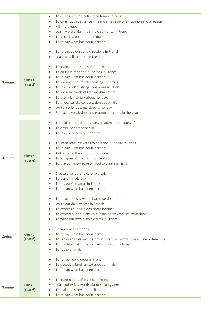|               |                                | To distinguish masculine and feminine nouns<br>$\bullet$<br>To construct a sentence in French made up of an opinion and a reason<br>$\bullet$<br>Fill in the gaps<br>$\bullet$ |
|---------------|--------------------------------|--------------------------------------------------------------------------------------------------------------------------------------------------------------------------------|
|               |                                | Learn word order in a simple sentence in French<br>To decode a text about animals                                                                                              |
|               |                                | To re-cap what has been learned                                                                                                                                                |
|               |                                | To re-cap colours and directions in French<br>$\bullet$<br>Learn to tell the time in French                                                                                    |
|               |                                | To learn about money in French<br>To count in tens and hundreds in French<br>To re-cap what has been learned                                                                   |
| Summer        | Class 4                        | To learn about French speaking countries                                                                                                                                       |
|               | (Year 5)                       | To review letter strings and pronunciation<br>$\bullet$                                                                                                                        |
|               |                                | To learn methods of transport in French<br>$\bullet$                                                                                                                           |
|               |                                | To use 'aller' to talk about holidays<br>$\bullet$                                                                                                                             |
|               |                                | To understand a conversation about 'aller'                                                                                                                                     |
|               |                                | Write a brief passage about a holiday<br>$\bullet$                                                                                                                             |
|               |                                | Re-cap all vocabulary and grammar learned in the year<br>$\bullet$                                                                                                             |
|               |                                | To hold an introductory conversation about yourself<br>$\bullet$                                                                                                               |
|               |                                | To describe someone else                                                                                                                                                       |
|               |                                | To review how to tell the time                                                                                                                                                 |
|               |                                |                                                                                                                                                                                |
|               |                                | To learn reflexive verbs to describe our daily routines<br>To re-cap what has been learned<br>$\bullet$                                                                        |
|               |                                | Talk about different foods in shops                                                                                                                                            |
| Autumn        | Class <sub>5</sub>             | To ask questions about food in shops<br>$\bullet$                                                                                                                              |
|               | (Year 6)                       | To use our knowledge of food to create a menu                                                                                                                                  |
|               |                                | Create a script for a café role paly                                                                                                                                           |
|               |                                | To perform role play<br>$\bullet$                                                                                                                                              |
|               |                                | To review Christmas in France                                                                                                                                                  |
|               |                                | To re-cap what has been learned                                                                                                                                                |
|               |                                | To be able to say what chores we do at home<br>$\bullet$                                                                                                                       |
|               |                                | Write our daily chores in French<br>$\bullet$<br>To express our opinions about hobbies                                                                                         |
|               |                                | $\bullet$<br>To extend our opinions by explaining why we like something<br>$\bullet$                                                                                           |
|               |                                | To write our own diary extracts in French<br>$\bullet$                                                                                                                         |
|               |                                |                                                                                                                                                                                |
|               |                                | Recap times in French                                                                                                                                                          |
| <b>Spring</b> | Class <sub>5</sub><br>(Year 6) | To re-cap what has been learned<br>To recap animals and identify if unfamiliar word is masculine or feminine<br>$\bullet$                                                      |
|               |                                | To practice making sentences using conjunctions<br>$\bullet$                                                                                                                   |
|               |                                | To recap animals                                                                                                                                                               |
|               |                                | To review word order in French                                                                                                                                                 |
|               |                                | To decode a familiar text about animals                                                                                                                                        |
|               |                                | To re-cap what has been learned                                                                                                                                                |
|               |                                |                                                                                                                                                                                |
|               |                                | To learn names of planets in French                                                                                                                                            |
| Summer        |                                |                                                                                                                                                                                |
|               | Class <sub>5</sub><br>(Year 6) | Learn other key words about solar system<br>$\bullet$<br>To make up story about aliens                                                                                         |